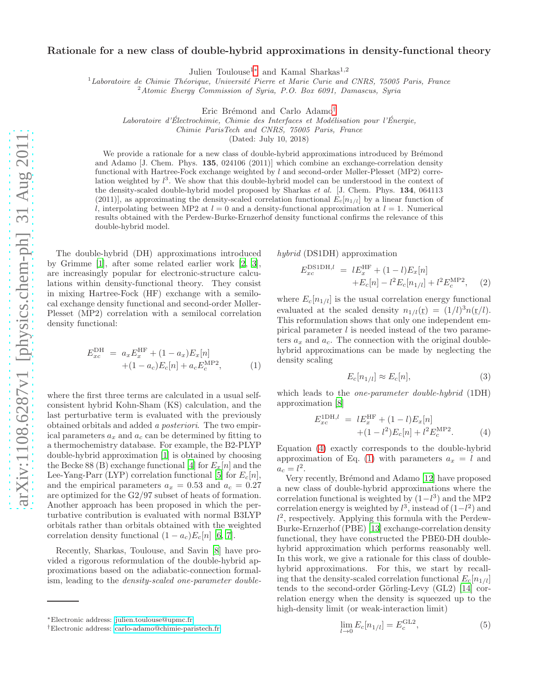## Rationale for a new class of double-hybrid approximations in density-functional theory

Julien Toulouse<sup>1</sup>[∗](#page-0-0) and Kamal Sharkas<sup>1</sup>,<sup>2</sup>

 $1$ Laboratoire de Chimie Théorique, Université Pierre et Marie Curie and CNRS, 75005 Paris, France

 $2^2$ Atomic Energy Commission of Syria, P.O. Box 6091, Damascus, Syria

Eric Brémond and Carlo Adamo<sup>[†](#page-0-1)</sup>

Laboratoire d'Électrochimie, Chimie des Interfaces et Modélisation pour l'Énergie,

Chimie ParisTech and CNRS, 75005 Paris, France

(Dated: July 10, 2018)

We provide a rationale for a new class of double-hybrid approximations introduced by Brémond and Adamo [J. Chem. Phys. 135, 024106 (2011)] which combine an exchange-correlation density functional with Hartree-Fock exchange weighted by  $l$  and second-order Møller-Plesset (MP2) correlation weighted by  $l^3$ . We show that this double-hybrid model can be understood in the context of the density-scaled double-hybrid model proposed by Sharkas et al. [J. Chem. Phys. 134, 064113 (2011)], as approximating the density-scaled correlation functional  $E_c[n_{1/l}]$  by a linear function of l, interpolating between MP2 at  $l = 0$  and a density-functional approximation at  $l = 1$ . Numerical results obtained with the Perdew-Burke-Ernzerhof density functional confirms the relevance of this double-hybrid model.

The double-hybrid (DH) approximations introduced by Grimme [\[1\]](#page-2-0), after some related earlier work [\[2,](#page-2-1) [3\]](#page-2-2), are increasingly popular for electronic-structure calculations within density-functional theory. They consist in mixing Hartree-Fock (HF) exchange with a semilocal exchange density functional and second-order Møller-Plesset (MP2) correlation with a semilocal correlation density functional:

<span id="page-0-3"></span>
$$
E_{xc}^{\text{DH}} = a_x E_x^{\text{HF}} + (1 - a_x) E_x[n] + (1 - a_c) E_c[n] + a_c E_c^{\text{MP2}}, \qquad (1)
$$

where the first three terms are calculated in a usual selfconsistent hybrid Kohn-Sham (KS) calculation, and the last perturbative term is evaluated with the previously obtained orbitals and added a posteriori. The two empirical parameters  $a_x$  and  $a_c$  can be determined by fitting to a thermochemistry database. For example, the B2-PLYP double-hybrid approximation [\[1\]](#page-2-0) is obtained by choosing the Becke 88 (B) exchange functional [\[4\]](#page-2-3) for  $E_x[n]$  and the Lee-Yang-Parr (LYP) correlation functional [\[5](#page-3-0)] for  $E_c[n]$ , and the empirical parameters  $a_x = 0.53$  and  $a_c = 0.27$ are optimized for the G2/97 subset of heats of formation. Another approach has been proposed in which the perturbative contribution is evaluated with normal B3LYP orbitals rather than orbitals obtained with the weighted correlation density functional  $(1 - a_c)E_c[n]$  [\[6](#page-3-1), [7](#page-3-2)].

Recently, Sharkas, Toulouse, and Savin [\[8\]](#page-3-3) have provided a rigorous reformulation of the double-hybrid approximations based on the adiabatic-connection formalism, leading to the density-scaled one-parameter doublehybrid (DS1DH) approximation

<span id="page-0-5"></span>
$$
E_{xc}^{\text{DS1DH},l} = lE_x^{\text{HF}} + (1-l)E_x[n] + E_c[n] - l^2 E_c[n_{1/l}] + l^2 E_c^{\text{MP2}}, \quad (2)
$$

where  $E_c[n_{1/l}]$  is the usual correlation energy functional evaluated at the scaled density  $n_{1/l}(\mathbf{r}) = (1/l)^3 n(\mathbf{r}/l)$ . This reformulation shows that only one independent empirical parameter  $l$  is needed instead of the two parameters  $a_x$  and  $a_c$ . The connection with the original doublehybrid approximations can be made by neglecting the density scaling

<span id="page-0-4"></span>
$$
E_c[n_{1/l}] \approx E_c[n],\tag{3}
$$

which leads to the *one-parameter double-hybrid* (1DH) approximation [\[8](#page-3-3)]

<span id="page-0-2"></span>
$$
E_{xc}^{\text{1DH},l} = lE_{x}^{\text{HF}} + (1-l)E_{x}[n] + (1-l^{2})E_{c}[n] + l^{2}E_{c}^{\text{MP2}}.
$$
 (4)

Equation [\(4\)](#page-0-2) exactly corresponds to the double-hybrid approximation of Eq. [\(1\)](#page-0-3) with parameters  $a_x = l$  and  $a_c = l^2$ .

Very recently, Brémond and Adamo [\[12\]](#page-3-4) have proposed a new class of double-hybrid approximations where the correlation functional is weighted by  $(1-l^3)$  and the MP2 correlation energy is weighted by  $l^3$ , instead of  $(1-l^2)$  and  $l^2$ , respectively. Applying this formula with the Perdew-Burke-Ernzerhof (PBE) [\[13\]](#page-3-5) exchange-correlation density functional, they have constructed the PBE0-DH doublehybrid approximation which performs reasonably well. In this work, we give a rationale for this class of doublehybrid approximations. For this, we start by recalling that the density-scaled correlation functional  $E_c[n_{1/l}]$ tends to the second-order Görling-Levy  $(GL2)$  [\[14\]](#page-3-6) correlation energy when the density is squeezed up to the high-density limit (or weak-interaction limit)

$$
\lim_{l \to 0} E_c[n_{1/l}] = E_c^{\text{GL2}},\tag{5}
$$

<span id="page-0-0"></span><sup>∗</sup>Electronic address: [julien.toulouse@upmc.fr](mailto:julien.toulouse@upmc.fr)

<span id="page-0-1"></span><sup>†</sup>Electronic address: [carlo-adamo@chimie-paristech.fr](mailto:carlo-adamo@chimie-paristech.fr)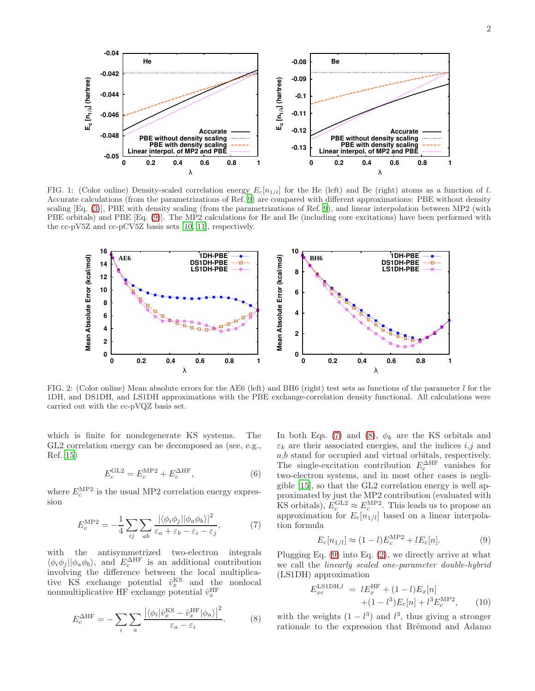

<span id="page-1-4"></span>FIG. 1: (Color online) Density-scaled correlation energy  $E_c[n_{1/l}]$  for the He (left) and Be (right) atoms as a function of l. Accurate calculations (from the parametrizations of Ref. [9](#page-3-7)) are compared with different approximations: PBE without density scaling [Eq. [\(3\)](#page-0-4)], PBE with density scaling (from the parametrizations of Ref. [9](#page-3-7)), and linear interpolation between MP2 (with PBE orbitals) and PBE [Eq. [\(9\)](#page-1-0)]. The MP2 calculations for He and Be (including core excitations) have been performed with the cc-pV5Z and cc-pCV5Z basis sets [\[10](#page-3-8), [11\]](#page-3-9), respectively.



<span id="page-1-5"></span>FIG. 2: (Color online) Mean absolute errors for the AE6 (left) and BH6 (right) test sets as functions of the parameter l for the 1DH, and DS1DH, and LS1DH approximations with the PBE exchange-correlation density functional. All calculations were carried out with the cc-pVQZ basis set.

which is finite for nondegenerate KS systems. The GL2 correlation energy can be decomposed as (see, e.g., Ref. [15\)](#page-3-10)

$$
E_c^{\text{GL2}} = E_c^{\text{MP2}} + E_c^{\Delta \text{HF}},\tag{6}
$$

where  $E_c^{\text{MP2}}$  is the usual MP2 correlation energy expression

<span id="page-1-1"></span>
$$
E_c^{\text{MP2}} = -\frac{1}{4} \sum_{ij} \sum_{ab} \frac{|\langle \phi_i \phi_j || \phi_a \phi_b \rangle|^2}{\varepsilon_a + \varepsilon_b - \varepsilon_i - \varepsilon_j},\tag{7}
$$

with the antisymmetrized two-electron integrals  $\langle \phi_i \phi_j | \phi_a \phi_b \rangle$ , and  $E_c^{\Delta HF}$  is an additional contribution involving the difference between the local multiplicative KS exchange potential  $\hat{v}_x^{\text{KS}}$  and the nonlocal nonmultiplicative HF exchange potential  $\hat{v}_x^{\text{HF}}$ 

<span id="page-1-2"></span>
$$
E_c^{\Delta \text{HF}} = -\sum_i \sum_a \frac{\left| \langle \phi_i | \hat{v}_x^{\text{KS}} - \hat{v}_x^{\text{HF}} | \phi_a \rangle \right|^2}{\varepsilon_a - \varepsilon_i}.
$$
 (8)

In both Eqs. [\(7\)](#page-1-1) and [\(8\)](#page-1-2),  $\phi_k$  are the KS orbitals and  $\varepsilon_k$  are their associated energies, and the indices  $i, j$  and  $a,b$  stand for occupied and virtual orbitals, respectively. The single-excitation contribution  $E_c^{\Delta HF}$  vanishes for two-electron systems, and in most other cases is negligible [\[15\]](#page-3-10), so that the GL2 correlation energy is well approximated by just the MP2 contribution (evaluated with KS orbitals),  $E_c^{\text{GL2}} \approx E_c^{\text{MP2}}$ . This leads us to propose an approximation for  $E_c[n_{1/l}]$  based on a linear interpolation formula

<span id="page-1-0"></span>
$$
E_c[n_{1/l}] \approx (1-l)E_c^{\text{MP2}} + lE_c[n].
$$
 (9)

Plugging Eq. [\(9\)](#page-1-0) into Eq. [\(2\)](#page-0-5), we directly arrive at what we call the linearly scaled one-parameter double-hybrid (LS1DH) approximation

<span id="page-1-3"></span>
$$
E_{xc}^{\text{LSDH},l} = lE_x^{\text{HF}} + (1-l)E_x[n] + (1-l^3)E_c[n] + l^3E_c^{\text{MP2}}, \qquad (10)
$$

with the weights  $(1 - l^3)$  and  $l^3$ , thus giving a stronger rationale to the expression that Brémond and Adamo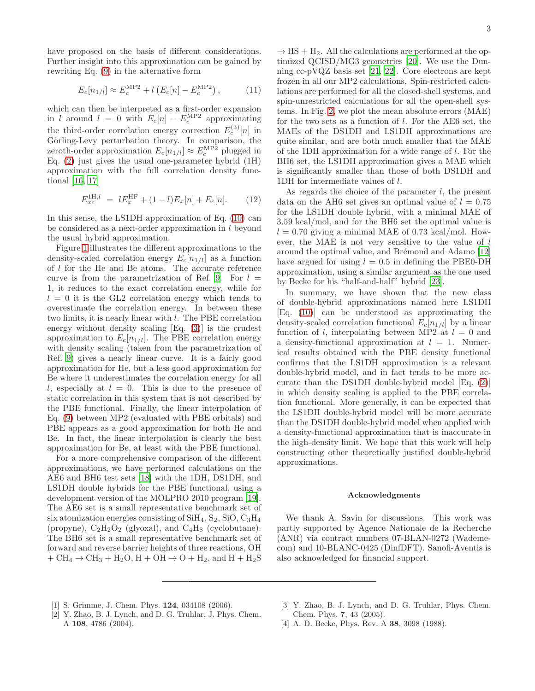have proposed on the basis of different considerations. Further insight into this approximation can be gained by rewriting Eq. [\(9\)](#page-1-0) in the alternative form

$$
E_c[n_{1/l}] \approx E_c^{\text{MP2}} + l \left( E_c[n] - E_c^{\text{MP2}} \right), \tag{11}
$$

which can then be interpreted as a first-order expansion in l around  $l = 0$  with  $E_c[n] - E_c^{\text{MP2}}$  approximating the third-order correlation energy correction  $E_c^{(3)}[n]$  in Görling-Levy perturbation theory. In comparison, the zeroth-order approximation  $E_c[n_{1/l}] \approx E_c^{\text{MP2}}$  plugged in Eq.  $(2)$  just gives the usual one-parameter hybrid  $(1H)$ approximation with the full correlation density functional [\[16,](#page-3-11) [17\]](#page-3-12)

$$
E_{xc}^{1H,l} = lE_x^{HF} + (1-l)E_x[n] + E_c[n]. \tag{12}
$$

In this sense, the LS1DH approximation of Eq. [\(10\)](#page-1-3) can be considered as a next-order approximation in l beyond the usual hybrid approximation.

Figure [1](#page-1-4) illustrates the different approximations to the density-scaled correlation energy  $E_c[n_{1/l}]$  as a function of l for the He and Be atoms. The accurate reference curve is from the parametrization of Ref. [9.](#page-3-7) For  $l =$ 1, it reduces to the exact correlation energy, while for  $l = 0$  it is the GL2 correlation energy which tends to overestimate the correlation energy. In between these two limits, it is nearly linear with l. The PBE correlation energy without density scaling [Eq. [\(3\)](#page-0-4)] is the crudest approximation to  $E_c[n_{1/l}]$ . The PBE correlation energy with density scaling (taken from the parametrization of Ref. [9](#page-3-7)) gives a nearly linear curve. It is a fairly good approximation for He, but a less good approximation for Be where it underestimates the correlation energy for all l, especially at  $l = 0$ . This is due to the presence of static correlation in this system that is not described by the PBE functional. Finally, the linear interpolation of Eq. [\(9\)](#page-1-0) between MP2 (evaluated with PBE orbitals) and PBE appears as a good approximation for both He and Be. In fact, the linear interpolation is clearly the best approximation for Be, at least with the PBE functional.

For a more comprehensive comparison of the different approximations, we have performed calculations on the AE6 and BH6 test sets [\[18](#page-3-13)] with the 1DH, DS1DH, and LS1DH double hybrids for the PBE functional, using a development version of the MOLPRO 2010 program [\[19\]](#page-3-14). The AE6 set is a small representative benchmark set of six atomization energies consisting of  $\text{SiH}_4$ ,  $\text{S}_2$ ,  $\text{SiO}$ ,  $\text{C}_3\text{H}_4$ (propyne),  $C_2H_2O_2$  (glyoxal), and  $C_4H_8$  (cyclobutane). The BH6 set is a small representative benchmark set of forward and reverse barrier heights of three reactions, OH  $+ \text{CH}_4 \rightarrow \text{CH}_3 + \text{H}_2\text{O}, \text{H} + \text{OH} \rightarrow \text{O} + \text{H}_2, \text{and } \text{H} + \text{H}_2\text{S}$ 

 $\rightarrow$  HS + H<sub>2</sub>. All the calculations are performed at the optimized QCISD/MG3 geometries [\[20](#page-3-15)]. We use the Dunning cc-pVQZ basis set [\[21,](#page-3-16) [22\]](#page-3-17). Core electrons are kept frozen in all our MP2 calculations. Spin-restricted calculations are performed for all the closed-shell systems, and spin-unrestricted calculations for all the open-shell systems. In Fig. [2,](#page-1-5) we plot the mean absolute errors (MAE) for the two sets as a function of l. For the AE6 set, the MAEs of the DS1DH and LS1DH approximations are quite similar, and are both much smaller that the MAE of the 1DH approximation for a wide range of l. For the BH6 set, the LS1DH approximation gives a MAE which is significantly smaller than those of both DS1DH and 1DH for intermediate values of l.

As regards the choice of the parameter  $l$ , the present data on the AH6 set gives an optimal value of  $l = 0.75$ for the LS1DH double hybrid, with a minimal MAE of 3.59 kcal/mol, and for the BH6 set the optimal value is  $l = 0.70$  giving a minimal MAE of 0.73 kcal/mol. However, the MAE is not very sensitive to the value of l around the optimal value, and Brémond and Adamo [\[12](#page-3-4)] have argued for using  $l = 0.5$  in defining the PBE0-DH approximation, using a similar argument as the one used by Becke for his "half-and-half" hybrid [\[23\]](#page-3-18).

In summary, we have shown that the new class of double-hybrid approximations named here LS1DH [Eq. [\(10\)](#page-1-3)] can be understood as approximating the density-scaled correlation functional  $E_c[n_{1/l}]$  by a linear function of l, interpolating between MP2 at  $l = 0$  and a density-functional approximation at  $l = 1$ . Numerical results obtained with the PBE density functional confirms that the LS1DH approximation is a relevant double-hybrid model, and in fact tends to be more accurate than the DS1DH double-hybrid model [Eq. [\(2\)](#page-0-5)] in which density scaling is applied to the PBE correlation functional. More generally, it can be expected that the LS1DH double-hybrid model will be more accurate than the DS1DH double-hybrid model when applied with a density-functional approximation that is inaccurate in the high-density limit. We hope that this work will help constructing other theoretically justified double-hybrid approximations.

## Acknowledgments

We thank A. Savin for discussions. This work was partly supported by Agence Nationale de la Recherche (ANR) via contract numbers 07-BLAN-0272 (Wademecom) and 10-BLANC-0425 (DinfDFT). Sanofi-Aventis is also acknowledged for financial support.

- <span id="page-2-0"></span>[1] S. Grimme, J. Chem. Phys. 124, 034108 (2006).
- <span id="page-2-1"></span>[2] Y. Zhao, B. J. Lynch, and D. G. Truhlar, J. Phys. Chem. A 108, 4786 (2004).
- <span id="page-2-2"></span>[3] Y. Zhao, B. J. Lynch, and D. G. Truhlar, Phys. Chem. Chem. Phys. 7, 43 (2005).
- <span id="page-2-3"></span>[4] A. D. Becke, Phys. Rev. A **38**, 3098 (1988).